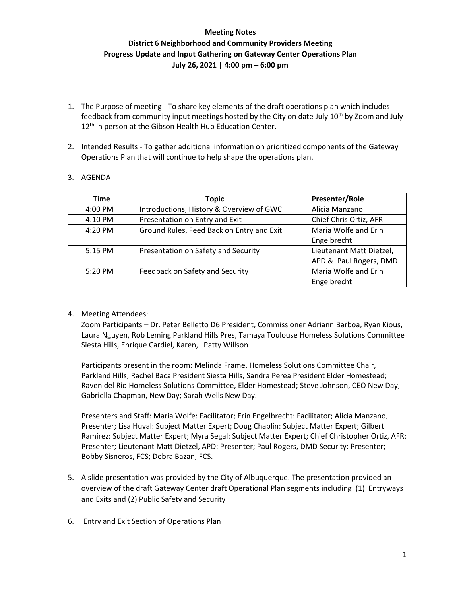- 1. The Purpose of meeting To share key elements of the draft operations plan which includes feedback from community input meetings hosted by the City on date July  $10^{th}$  by Zoom and July 12<sup>th</sup> in person at the Gibson Health Hub Education Center.
- 2. Intended Results To gather additional information on prioritized components of the Gateway Operations Plan that will continue to help shape the operations plan.

| Time              | <b>Topic</b>                              | Presenter/Role           |
|-------------------|-------------------------------------------|--------------------------|
| $4:00 \text{ PM}$ | Introductions, History & Overview of GWC  | Alicia Manzano           |
| 4:10 PM           | Presentation on Entry and Exit            | Chief Chris Ortiz, AFR   |
| 4:20 PM           | Ground Rules, Feed Back on Entry and Exit | Maria Wolfe and Erin     |
|                   |                                           | Engelbrecht              |
| $5:15$ PM         | Presentation on Safety and Security       | Lieutenant Matt Dietzel, |
|                   |                                           | APD & Paul Rogers, DMD   |
| $5:20$ PM         | Feedback on Safety and Security           | Maria Wolfe and Erin     |
|                   |                                           | Engelbrecht              |

3. AGENDA

4. Meeting Attendees:

Zoom Participants – Dr. Peter Belletto D6 President, Commissioner Adriann Barboa, Ryan Kious, Laura Nguyen, Rob Leming Parkland Hills Pres, Tamaya Toulouse Homeless Solutions Committee Siesta Hills, Enrique Cardiel, Karen, Patty Willson

Participants present in the room: Melinda Frame, Homeless Solutions Committee Chair, Parkland Hills; Rachel Baca President Siesta Hills, Sandra Perea President Elder Homestead; Raven del Rio Homeless Solutions Committee, Elder Homestead; Steve Johnson, CEO New Day, Gabriella Chapman, New Day; Sarah Wells New Day.

Presenters and Staff: Maria Wolfe: Facilitator; Erin Engelbrecht: Facilitator; Alicia Manzano, Presenter; Lisa Huval: Subject Matter Expert; Doug Chaplin: Subject Matter Expert; Gilbert Ramirez: Subject Matter Expert; Myra Segal: Subject Matter Expert; Chief Christopher Ortiz, AFR: Presenter; Lieutenant Matt Dietzel, APD: Presenter; Paul Rogers, DMD Security: Presenter; Bobby Sisneros, FCS; Debra Bazan, FCS.

- 5. A slide presentation was provided by the City of Albuquerque. The presentation provided an overview of the draft Gateway Center draft Operational Plan segments including (1) Entryways and Exits and (2) Public Safety and Security
- 6. Entry and Exit Section of Operations Plan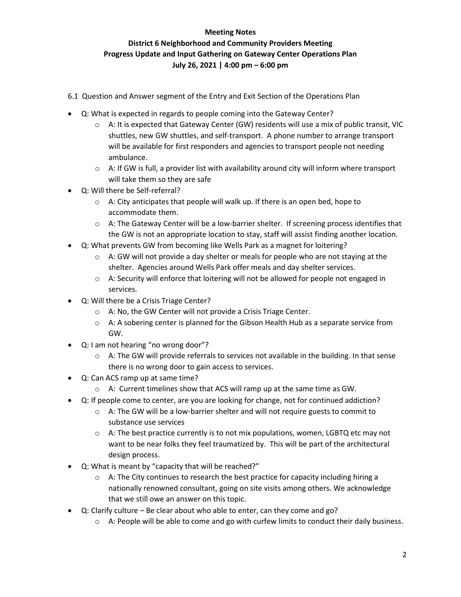- 6.1 Question and Answer segment of the Entry and Exit Section of the Operations Plan
- Q: What is expected in regards to people coming into the Gateway Center?
	- o A: It is expected that Gateway Center (GW) residents will use a mix of public transit, VIC shuttles, new GW shuttles, and self-transport. A phone number to arrange transport will be available for first responders and agencies to transport people not needing ambulance.
	- $\circ$  A: If GW is full, a provider list with availability around city will inform where transport will take them so they are safe
- Q: Will there be Self-referral?
	- o A: City anticipates that people will walk up. If there is an open bed, hope to accommodate them.
	- o A: The Gateway Center will be a low-barrier shelter. If screening process identifies that the GW is not an appropriate location to stay, staff will assist finding another location.
- Q: What prevents GW from becoming like Wells Park as a magnet for loitering?
	- $\circ$  A: GW will not provide a day shelter or meals for people who are not staying at the shelter. Agencies around Wells Park offer meals and day shelter services.
	- $\circ$  A: Security will enforce that loitering will not be allowed for people not engaged in services.
- Q: Will there be a Crisis Triage Center?
	- o A: No, the GW Center will not provide a Crisis Triage Center.
	- $\circ$  A: A sobering center is planned for the Gibson Health Hub as a separate service from GW.
- Q: I am not hearing "no wrong door"?
	- $\circ$  A: The GW will provide referrals to services not available in the building. In that sense there is no wrong door to gain access to services.
- Q: Can ACS ramp up at same time?
	- o A: Current timelines show that ACS will ramp up at the same time as GW.
- Q: If people come to center, are you are looking for change, not for continued addiction?
	- $\circ$  A: The GW will be a low-barrier shelter and will not require guests to commit to substance use services
	- $\circ$  A: The best practice currently is to not mix populations, women, LGBTQ etc may not want to be near folks they feel traumatized by. This will be part of the architectural design process.
- Q: What is meant by "capacity that will be reached?"
	- $\circ$  A: The City continues to research the best practice for capacity including hiring a nationally renowned consultant, going on site visits among others. We acknowledge that we still owe an answer on this topic.
- Q: Clarify culture Be clear about who able to enter, can they come and go?
	- $\circ$  A: People will be able to come and go with curfew limits to conduct their daily business.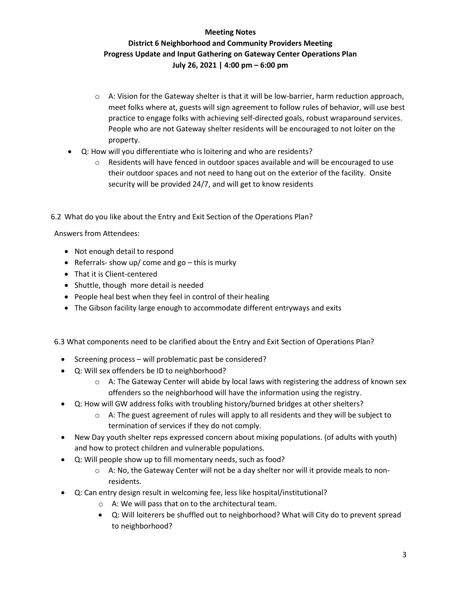- $\circ$  A: Vision for the Gateway shelter is that it will be low-barrier, harm reduction approach, meet folks where at, guests will sign agreement to follow rules of behavior, will use best practice to engage folks with achieving self-directed goals, robust wraparound services. People who are not Gateway shelter residents will be encouraged to not loiter on the property.
- Q: How will you differentiate who is loitering and who are residents?
	- $\circ$  Residents will have fenced in outdoor spaces available and will be encouraged to use their outdoor spaces and not need to hang out on the exterior of the facility. Onsite security will be provided 24/7, and will get to know residents

6.2 What do you like about the Entry and Exit Section of the Operations Plan?

Answers from Attendees:

- Not enough detail to respond
- Referrals- show up/ come and  $go$  this is murky
- That it is Client-centered
- Shuttle, though more detail is needed
- People heal best when they feel in control of their healing
- The Gibson facility large enough to accommodate different entryways and exits

6.3 What components need to be clarified about the Entry and Exit Section of Operations Plan?

- Screening process will problematic past be considered?
- Q: Will sex offenders be ID to neighborhood?
	- $\circ$  A: The Gateway Center will abide by local laws with registering the address of known sex offenders so the neighborhood will have the information using the registry.
- Q: How will GW address folks with troubling history/burned bridges at other shelters?
	- $\circ$  A: The guest agreement of rules will apply to all residents and they will be subject to termination of services if they do not comply.
- New Day youth shelter reps expressed concern about mixing populations. (of adults with youth) and how to protect children and vulnerable populations.
- Q: Will people show up to fill momentary needs, such as food?
	- $\circ$  A: No, the Gateway Center will not be a day shelter nor will it provide meals to nonresidents.
- Q: Can entry design result in welcoming fee, less like hospital/institutional?
	- o A: We will pass that on to the architectural team.
	- Q: Will loiterers be shuffled out to neighborhood? What will City do to prevent spread to neighborhood?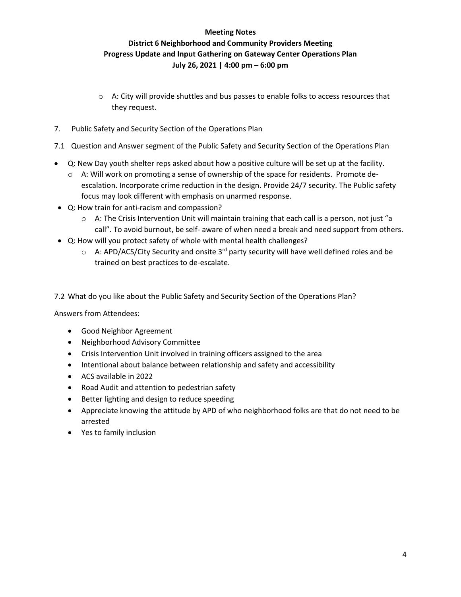- $\circ$  A: City will provide shuttles and bus passes to enable folks to access resources that they request.
- 7. Public Safety and Security Section of the Operations Plan
- 7.1 Question and Answer segment of the Public Safety and Security Section of the Operations Plan
- Q: New Day youth shelter reps asked about how a positive culture will be set up at the facility.
	- $\circ$  A: Will work on promoting a sense of ownership of the space for residents. Promote deescalation. Incorporate crime reduction in the design. Provide 24/7 security. The Public safety focus may look different with emphasis on unarmed response.
- Q: How train for anti-racism and compassion?
	- $\circ$  A: The Crisis Intervention Unit will maintain training that each call is a person, not just "a call". To avoid burnout, be self- aware of when need a break and need support from others.
- Q: How will you protect safety of whole with mental health challenges?
	- $\circ$  A: APD/ACS/City Security and onsite 3<sup>rd</sup> party security will have well defined roles and be trained on best practices to de-escalate.

7.2 What do you like about the Public Safety and Security Section of the Operations Plan?

Answers from Attendees:

- Good Neighbor Agreement
- Neighborhood Advisory Committee
- Crisis Intervention Unit involved in training officers assigned to the area
- Intentional about balance between relationship and safety and accessibility
- ACS available in 2022
- Road Audit and attention to pedestrian safety
- Better lighting and design to reduce speeding
- Appreciate knowing the attitude by APD of who neighborhood folks are that do not need to be arrested
- Yes to family inclusion